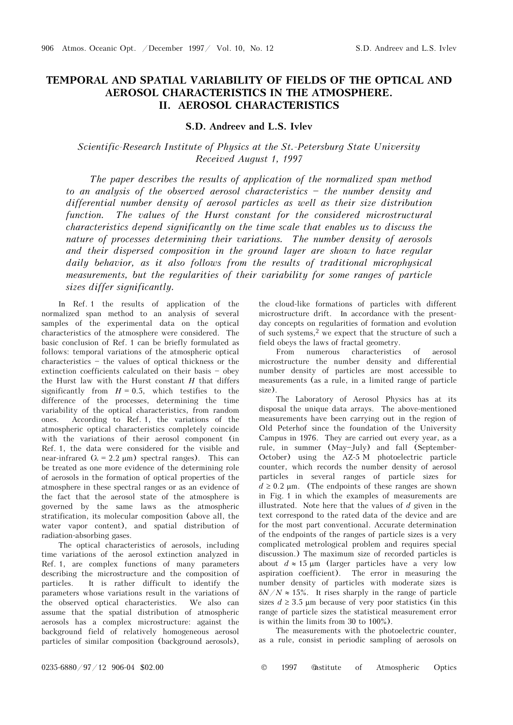## **TEMPORAL AND SPATIAL VARIABILITY OF FIELDS OF THE OPTICAL AND AEROSOL CHARACTERISTICS IN THE ATMOSPHERE. II. AEROSOL CHARACTERISTICS**

## **S.D. Andreev and L.S. Ivlev**

## *Scientific-Research Institute of Physics at the St.-Petersburg State University Received August 1, 1997*

*The paper describes the results of application of the normalized span method to an analysis of the observed aerosol characteristics \$ the number density and differential number density of aerosol particles as well as their size distribution function. The values of the Hurst constant for the considered microstructural characteristics depend significantly on the time scale that enables us to discuss the nature of processes determining their variations. The number density of aerosols and their dispersed composition in the ground layer are shown to have regular daily behavior, as it also follows from the results of traditional microphysical measurements, but the regularities of their variability for some ranges of particle sizes differ significantly.* 

In Ref. 1 the results of application of the normalized span method to an analysis of several samples of the experimental data on the optical characteristics of the atmosphere were considered. The basic conclusion of Ref. 1 can be briefly formulated as follows: temporal variations of the atmospheric optical  $characteristics - the values of optical thickness or the$ extinction coefficients calculated on their basis  $-$  obey the Hurst law with the Hurst constant *H* that differs significantly from  $H = 0.5$ , which testifies to the difference of the processes, determining the time variability of the optical characteristics, from random ones. According to Ref. 1, the variations of the atmospheric optical characteristics completely coincide with the variations of their aerosol component (in Ref. 1, the data were considered for the visible and near-infrared  $(\lambda = 2.2 \text{ µm})$  spectral ranges). This can be treated as one more evidence of the determining role of aerosols in the formation of optical properties of the atmosphere in these spectral ranges or as an evidence of the fact that the aerosol state of the atmosphere is governed by the same laws as the atmospheric stratification, its molecular composition (above all, the water vapor content), and spatial distribution of radiation-absorbing gases.

The optical characteristics of aerosols, including time variations of the aerosol extinction analyzed in Ref. 1, are complex functions of many parameters describing the microstructure and the composition of particles. It is rather difficult to identify the parameters whose variations result in the variations of the observed optical characteristics. We also can assume that the spatial distribution of atmospheric aerosols has a complex microstructure: against the background field of relatively homogeneous aerosol particles of similar composition (background aerosols), the cloud-like formations of particles with different microstructure drift. In accordance with the presentday concepts on regularities of formation and evolution of such systems,2 we expect that the structure of such a field obeys the laws of fractal geometry.

From numerous characteristics of aerosol microstructure the number density and differential number density of particles are most accessible to measurements (as a rule, in a limited range of particle size).

The Laboratory of Aerosol Physics has at its disposal the unique data arrays. The above-mentioned measurements have been carrying out in the region of Old Peterhof since the foundation of the University Campus in 1976. They are carried out every year, as a rule, in summer  $(May-July)$  and fall (September-October) using the AZ-5 M photoelectric particle counter, which records the number density of aerosol particles in several ranges of particle sizes for  $d \geq 0.2$  µm. (The endpoints of these ranges are shown in Fig. 1 in which the examples of measurements are illustrated. Note here that the values of *d* given in the text correspond to the rated data of the device and are for the most part conventional. Accurate determination of the endpoints of the ranges of particle sizes is a very complicated metrological problem and requires special discussion.) The maximum size of recorded particles is about  $d \approx 15 \text{ µm}$  (larger particles have a very low aspiration coefficient). The error in measuring the number density of particles with moderate sizes is  $\delta N/N \approx 15\%$ . It rises sharply in the range of particle sizes  $d \geq 3.5$  µm because of very poor statistics (in this range of particle sizes the statistical measurement error is within the limits from 30 to 100%).

The measurements with the photoelectric counter, as a rule, consist in periodic sampling of aerosols on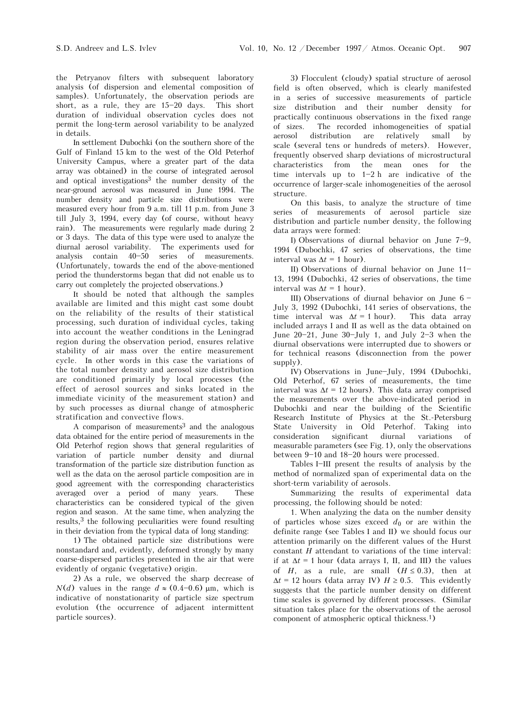the Petryanov filters with subsequent laboratory analysis (of dispersion and elemental composition of samples). Unfortunately, the observation periods are short, as a rule, they are  $15-20$  days. This short duration of individual observation cycles does not permit the long-term aerosol variability to be analyzed in details.

In settlement Dubochki (on the southern shore of the Gulf of Finland 15 km to the west of the Old Peterhof University Campus, where a greater part of the data array was obtained) in the course of integrated aerosol and optical investigations3 the number density of the near-ground aerosol was measured in June 1994. The number density and particle size distributions were measured every hour from 9 a.m. till 11 p.m. from June 3 till July 3, 1994, every day (of course, without heavy rain). The measurements were regularly made during 2 or 3 days. The data of this type were used to analyze the diurnal aerosol variability. The experiments used for analysis contain  $40-50$  series of measurements. (Unfortunately, towards the end of the above-mentioned period the thunderstorms began that did not enable us to carry out completely the projected observations.)

It should be noted that although the samples available are limited and this might cast some doubt on the reliability of the results of their statistical processing, such duration of individual cycles, taking into account the weather conditions in the Leningrad region during the observation period, ensures relative stability of air mass over the entire measurement cycle. In other words in this case the variations of the total number density and aerosol size distribution are conditioned primarily by local processes (the effect of aerosol sources and sinks located in the immediate vicinity of the measurement station) and by such processes as diurnal change of atmospheric stratification and convective flows.

A comparison of measurements3 and the analogous data obtained for the entire period of measurements in the Old Peterhof region shows that general regularities of variation of particle number density and diurnal transformation of the particle size distribution function as well as the data on the aerosol particle composition are in good agreement with the corresponding characteristics averaged over a period of many years. These characteristics can be considered typical of the given region and season. At the same time, when analyzing the results,3 the following peculiarities were found resulting in their deviation from the typical data of long standing:

1) The obtained particle size distributions were nonstandard and, evidently, deformed strongly by many coarse-dispersed particles presented in the air that were evidently of organic (vegetative) origin.

2) As a rule, we observed the sharp decrease of  $N(d)$  values in the range  $d \approx (0.4-0.6)$  µm, which is indicative of nonstationarity of particle size spectrum evolution (the occurrence of adjacent intermittent particle sources).

3) Flocculent (cloudy) spatial structure of aerosol field is often observed, which is clearly manifested in a series of successive measurements of particle size distribution and their number density for practically continuous observations in the fixed range of sizes. The recorded inhomogeneities of spatial aerosol distribution are relatively small by scale (several tens or hundreds of meters). However, frequently observed sharp deviations of microstructural characteristics from the mean ones for the time intervals up to  $1-2 h$  are indicative of the occurrence of larger-scale inhomogeneities of the aerosol structure.

On this basis, to analyze the structure of time series of measurements of aerosol particle size distribution and particle number density, the following data arrays were formed:

I) Observations of diurnal behavior on June  $7-9$ , 1994 (Dubochki, 47 series of observations, the time interval was  $\Delta t = 1$  hour).

II) Observations of diurnal behavior on June  $11$ -13, 1994 (Dubochki, 42 series of observations, the time interval was  $\Delta t = 1$  hour).

III) Observations of diurnal behavior on June  $6 -$ July 3, 1992 (Dubochki, 141 series of observations, the time interval was  $\Delta t = 1$  hour). This data array included arrays I and II as well as the data obtained on June  $20-21$ , June  $30$ -July 1, and July 2-3 when the diurnal observations were interrupted due to showers or for technical reasons (disconnection from the power supply).

IV) Observations in June-July, 1994 (Dubochki, Old Peterhof, 67 series of measurements, the time interval was  $\Delta t = 12$  hours). This data array comprised the measurements over the above-indicated period in Dubochki and near the building of the Scientific Research Institute of Physics at the St.-Petersburg State University in Old Peterhof. Taking into consideration significant diurnal variations of measurable parameters (see Fig. 1), only the observations between  $9-10$  and  $18-20$  hours were processed.

Tables I-III present the results of analysis by the method of normalized span of experimental data on the short-term variability of aerosols.

Summarizing the results of experimental data processing, the following should be noted:

1. When analyzing the data on the number density of particles whose sizes exceed  $d_0$  or are within the definite range (see Tables I and II) we should focus our attention primarily on the different values of the Hurst constant *H* attendant to variations of the time interval: if at  $\Delta t = 1$  hour (data arrays I, II, and III) the values of *H*, as a rule, are small  $(H \le 0.3)$ , then at  $\Delta t = 12$  hours (data array IV)  $H \geq 0.5$ . This evidently suggests that the particle number density on different time scales is governed by different processes. (Similar situation takes place for the observations of the aerosol component of atmospheric optical thickness.1)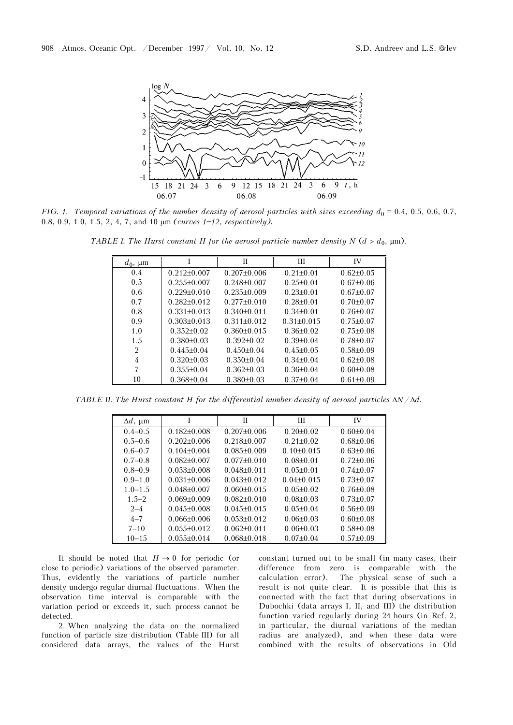

*FIG. 1. Temporal variations of the number density of aerosol particles with sizes exceeding*  $d_0 = 0.4$ *, 0.5, 0.6, 0.7,* 0.8, 0.9, 1.0, 1.5, 2, 4, 7, and 10  $\mu$ m *(curves 1–12, respectively)*.

*TABLE I. The Hurst constant H for the aerosol particle number density N*  $(d > d_0, \mu m)$ .

| $a_0$ , $\mu$ m |                   | П                 | Ш                | IV              |
|-----------------|-------------------|-------------------|------------------|-----------------|
| 0.4             | $0.212+0.007$     | $0.207 \pm 0.006$ | $0.21 + 0.01$    | $0.62\pm0.05$   |
| 0.5             | $0.255\pm0.007$   | $0.248 \pm 0.007$ | $0.25 \pm 0.01$  | $0.67 \pm 0.06$ |
| 0.6             | $0.229 \pm 0.010$ | $0.235\pm0.009$   | $0.23 \pm 0.01$  | $0.67 \pm 0.07$ |
| 0.7             | $0.282\pm0.012$   | $0.277+0.010$     | $0.28 \pm 0.01$  | $0.70 + 0.07$   |
| 0.8             | $0.331 \pm 0.013$ | $0.340\pm0.011$   | $0.34\pm0.01$    | $0.76 \pm 0.07$ |
| 0.9             | $0.303\pm0.013$   | $0.311 \pm 0.012$ | $0.31 \pm 0.015$ | $0.75 \pm 0.07$ |
| 1.0             | $0.352\pm0.02$    | $0.360\pm0.015$   | $0.36\pm0.02$    | $0.75 \pm 0.08$ |
| 1.5             | $0.380\pm0.03$    | $0.392\pm0.02$    | $0.39\pm0.04$    | $0.78 \pm 0.07$ |
| $\overline{2}$  | $0.445 \pm 0.04$  | $0.450\pm0.04$    | $0.45 \pm 0.05$  | $0.58 \pm 0.09$ |
| 4               | $0.320\pm0.03$    | $0.350\pm0.04$    | $0.34\pm0.04$    | $0.62\pm0.08$   |
| 7               | $0.355\pm0.04$    | $0.362\pm0.03$    | $0.36\pm0.04$    | $0.60 \pm 0.08$ |
| 10              | $0.368\pm0.04$    | $0.380\pm0.03$    | $0.37\pm0.04$    | $0.61 \pm 0.09$ |

*TABLE II. The Hurst constant H for the differential number density of aerosol particles N*/*d.*

| $\Delta d$ , $\mu$ m |                   | П                 | Ш               | IV              |
|----------------------|-------------------|-------------------|-----------------|-----------------|
| $0.4 - 0.5$          | $0.182\pm0.008$   | $0.207\pm0.006$   | $0.20 \pm 0.02$ | $0.60 \pm 0.04$ |
| $0.5 - 0.6$          | $0.202\pm0.006$   | $0.218 \pm 0.007$ | $0.21 \pm 0.02$ | $0.68 \pm 0.06$ |
| $0.6 - 0.7$          | $0.104 \pm 0.004$ | $0.085 \pm 0.009$ | $0.10\pm0.015$  | $0.63\pm0.06$   |
| $0.7-0.8$            | $0.082\pm0.007$   | $0.077+0.010$     | $0.08 \pm 0.01$ | $0.72{\pm}0.06$ |
| $0.8 - 0.9$          | $0.053\pm0.008$   | $0.048 \pm 0.011$ | $0.05 \pm 0.01$ | $0.74 + 0.07$   |
| $0.9 - 1.0$          | $0.031 \pm 0.006$ | $0.043\pm0.012$   | $0.04 + 0.015$  | $0.73 \pm 0.07$ |
| $1.0 - 1.5$          | $0.048 \pm 0.007$ | $0.060\pm0.015$   | $0.05 \pm 0.02$ | $0.76 \pm 0.08$ |
| $1.5 - 2$            | $0.069 + 0.009$   | $0.082\pm0.010$   | $0.08\pm0.03$   | $0.73 \pm 0.07$ |
| $2 - 4$              | $0.045 \pm 0.008$ | $0.045 \pm 0.015$ | $0.05 \pm 0.04$ | $0.56\pm0.09$   |
| $4 - 7$              | $0.066\pm0.006$   | $0.053\pm0.012$   | $0.06\pm0.03$   | $0.60 \pm 0.08$ |
| $7 - 10$             | $0.055 \pm 0.012$ | $0.062\pm0.011$   | $0.06\pm0.03$   | $0.58 \pm 0.08$ |
| $10 - 15$            | $0.055 \pm 0.014$ | $0.068 \pm 0.018$ | $0.07\pm0.04$   | $0.57 \pm 0.09$ |

It should be noted that  $H \to 0$  for periodic (or close to periodic) variations of the observed parameter. Thus, evidently the variations of particle number density undergo regular diurnal fluctuations. When the observation time interval is comparable with the variation period or exceeds it, such process cannot be detected.

2. When analyzing the data on the normalized function of particle size distribution (Table III) for all considered data arrays, the values of the Hurst constant turned out to be small (in many cases, their difference from zero is comparable with the calculation error). The physical sense of such a result is not quite clear. It is possible that this is connected with the fact that during observations in Dubochki (data arrays I, II, and III) the distribution function varied regularly during 24 hours (in Ref. 2, in particular, the diurnal variations of the median radius are analyzed), and when these data were combined with the results of observations in Old